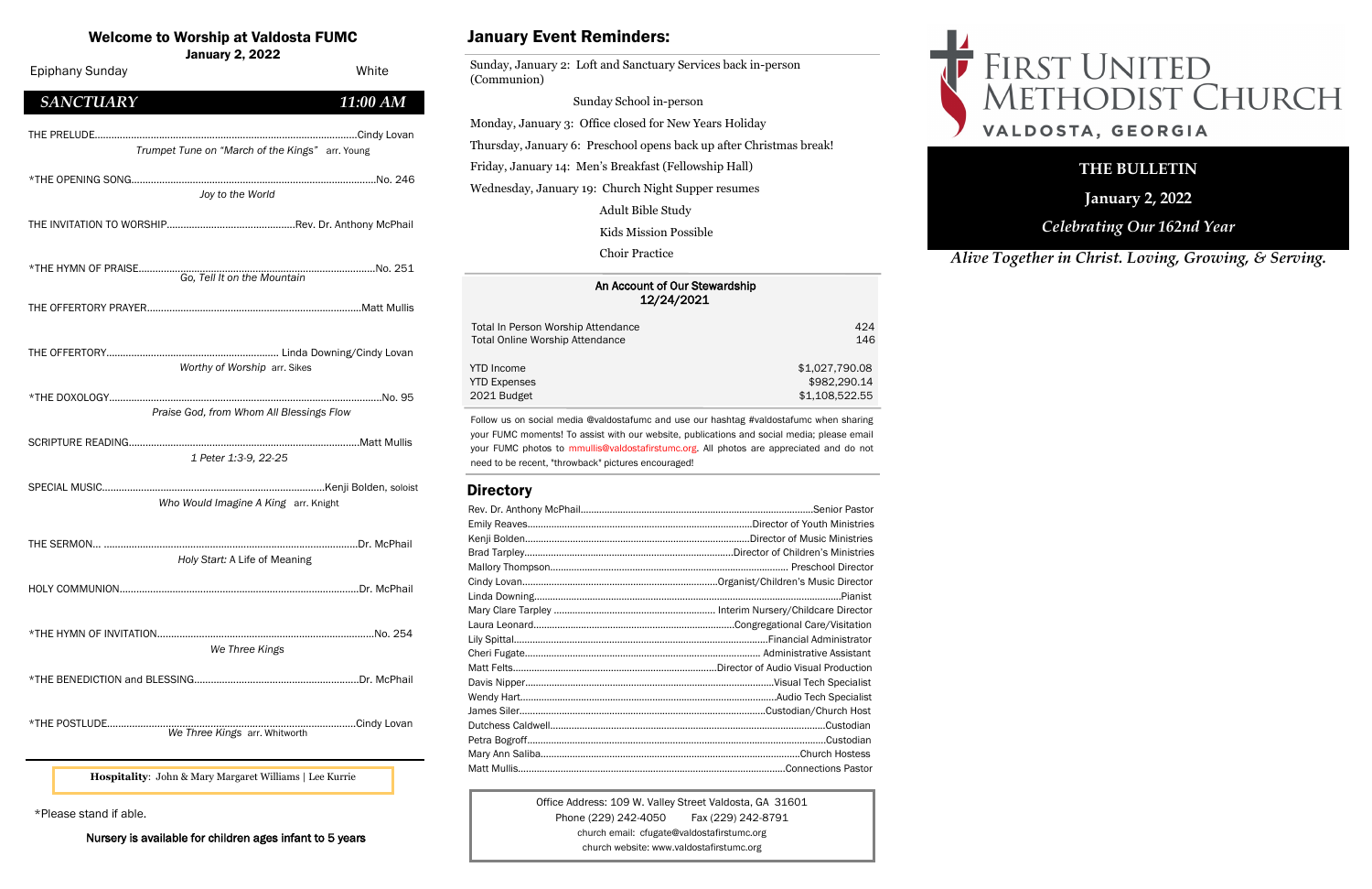| An Account of Our Stewardship<br>12/24/2021 |                |
|---------------------------------------------|----------------|
| Total In Person Worship Attendance          | 424            |
| <b>Total Online Worship Attendance</b>      | 146            |
| YTD Income                                  | \$1,027,790.08 |
| <b>YTD Expenses</b>                         | \$982,290.14   |
| 2021 Budget                                 | \$1,108,522.55 |

## Welcome to Worship at Valdosta FUMC

January 2, 2022

Office Address: 109 W. Valley Street Valdosta, GA 31601 Phone (229) 242-4050 Fax (229) 242-8791 church email: cfugate@valdostafirstumc.org church website: www.valdostafirstumc.org



# FIRST UNITED<br>METHODIST CHURCH VALDOSTA, GEORGIA

*Alive Together in Christ. Loving, Growing, & Serving.*

## **THE BULLETIN**

**January 2, 2022**

*Celebrating Our 162nd Year*

Follow us on social media @valdostafumc and use our hashtag #valdostafumc when sharing your FUMC moments! To assist with our website, publications and social media; please email your FUMC photos to mmullis@valdostafirstumc.org. All photos are appreciated and do not need to be recent, "throwback" pictures encouraged!

## **Directory**

# January Event Reminders:

Sunday, January 2: Loft and Sanctuary Services back in-person (Communion)

 Sunday School in-person Monday, January 3: Office closed for New Years Holiday Thursday, January 6: Preschool opens back up after Christmas break! Friday, January 14: Men's Breakfast (Fellowship Hall) Wednesday, January 19: Church Night Supper resumes Adult Bible Study

Kids Mission Possible

Choir Practice

\*Please stand if able.

Nursery is available for children ages infant to 5 years

**Hospitality**: John & Mary Margaret Williams | Lee Kurrie